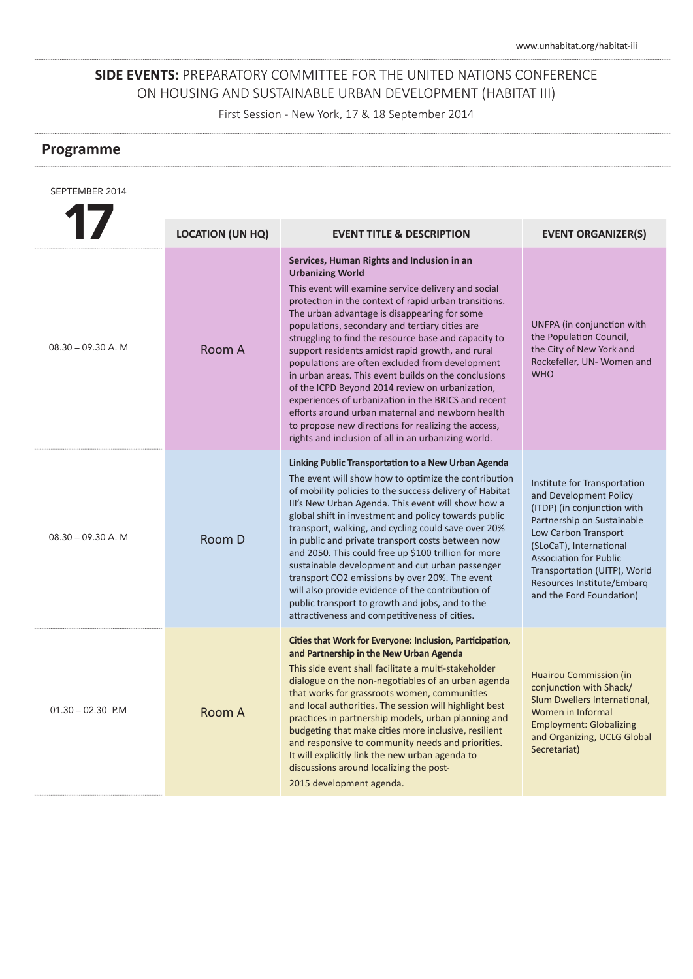First Session - New York, 17 & 18 September 2014

| SEPTEMBER 2014       |                         |                                                                                                                                                                                                                                                                                                                                                                                                                                                                                                                                                                                                                                                                                                                                                                                            |                                                                                                                                                                                                                                                                                                   |
|----------------------|-------------------------|--------------------------------------------------------------------------------------------------------------------------------------------------------------------------------------------------------------------------------------------------------------------------------------------------------------------------------------------------------------------------------------------------------------------------------------------------------------------------------------------------------------------------------------------------------------------------------------------------------------------------------------------------------------------------------------------------------------------------------------------------------------------------------------------|---------------------------------------------------------------------------------------------------------------------------------------------------------------------------------------------------------------------------------------------------------------------------------------------------|
|                      | <b>LOCATION (UN HQ)</b> | <b>EVENT TITLE &amp; DESCRIPTION</b>                                                                                                                                                                                                                                                                                                                                                                                                                                                                                                                                                                                                                                                                                                                                                       | <b>EVENT ORGANIZER(S)</b>                                                                                                                                                                                                                                                                         |
| $08.30 - 09.30$ A. M | Room A                  | Services, Human Rights and Inclusion in an<br><b>Urbanizing World</b><br>This event will examine service delivery and social<br>protection in the context of rapid urban transitions.<br>The urban advantage is disappearing for some<br>populations, secondary and tertiary cities are<br>struggling to find the resource base and capacity to<br>support residents amidst rapid growth, and rural<br>populations are often excluded from development<br>in urban areas. This event builds on the conclusions<br>of the ICPD Beyond 2014 review on urbanization,<br>experiences of urbanization in the BRICS and recent<br>efforts around urban maternal and newborn health<br>to propose new directions for realizing the access,<br>rights and inclusion of all in an urbanizing world. | UNFPA (in conjunction with<br>the Population Council,<br>the City of New York and<br>Rockefeller, UN-Women and<br><b>WHO</b>                                                                                                                                                                      |
| $08.30 - 09.30$ A. M | Room D                  | Linking Public Transportation to a New Urban Agenda<br>The event will show how to optimize the contribution<br>of mobility policies to the success delivery of Habitat<br>III's New Urban Agenda. This event will show how a<br>global shift in investment and policy towards public<br>transport, walking, and cycling could save over 20%<br>in public and private transport costs between now<br>and 2050. This could free up \$100 trillion for more<br>sustainable development and cut urban passenger<br>transport CO2 emissions by over 20%. The event<br>will also provide evidence of the contribution of<br>public transport to growth and jobs, and to the<br>attractiveness and competitiveness of cities.                                                                     | Institute for Transportation<br>and Development Policy<br>(ITDP) (in conjunction with<br>Partnership on Sustainable<br>Low Carbon Transport<br>(SLoCaT), International<br><b>Association for Public</b><br>Transportation (UITP), World<br>Resources Institute/Embarg<br>and the Ford Foundation) |
| $01.30 - 02.30$ P.M  | <b>Room A</b>           | Cities that Work for Everyone: Inclusion, Participation,<br>and Partnership in the New Urban Agenda<br>This side event shall facilitate a multi-stakeholder<br>dialogue on the non-negotiables of an urban agenda<br>that works for grassroots women, communities<br>and local authorities. The session will highlight best<br>practices in partnership models, urban planning and<br>budgeting that make cities more inclusive, resilient<br>and responsive to community needs and priorities.<br>It will explicitly link the new urban agenda to<br>discussions around localizing the post-<br>2015 development agenda.                                                                                                                                                                  | <b>Huairou Commission (in</b><br>conjunction with Shack/<br>Slum Dwellers International,<br>Women in Informal<br><b>Employment: Globalizing</b><br>and Organizing, UCLG Global<br>Secretariat)                                                                                                    |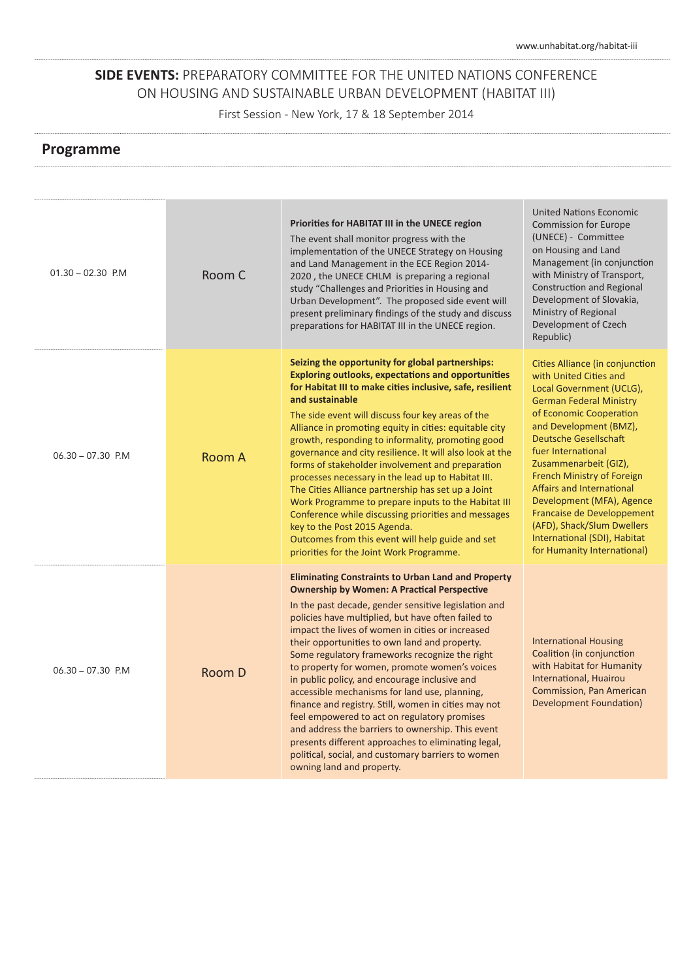First Session - New York, 17 & 18 September 2014

| $01.30 - 02.30$ P.M | Room C | Priorities for HABITAT III in the UNECE region<br>The event shall monitor progress with the<br>implementation of the UNECE Strategy on Housing<br>and Land Management in the ECE Region 2014-<br>2020, the UNECE CHLM is preparing a regional<br>study "Challenges and Priorities in Housing and<br>Urban Development". The proposed side event will<br>present preliminary findings of the study and discuss<br>preparations for HABITAT III in the UNECE region.                                                                                                                                                                                                                                                                                                                                                                             | <b>United Nations Economic</b><br><b>Commission for Europe</b><br>(UNECE) - Committee<br>on Housing and Land<br>Management (in conjunction<br>with Ministry of Transport,<br><b>Construction and Regional</b><br>Development of Slovakia,<br>Ministry of Regional<br>Development of Czech<br>Republic)                                                                                                                                                                         |
|---------------------|--------|------------------------------------------------------------------------------------------------------------------------------------------------------------------------------------------------------------------------------------------------------------------------------------------------------------------------------------------------------------------------------------------------------------------------------------------------------------------------------------------------------------------------------------------------------------------------------------------------------------------------------------------------------------------------------------------------------------------------------------------------------------------------------------------------------------------------------------------------|--------------------------------------------------------------------------------------------------------------------------------------------------------------------------------------------------------------------------------------------------------------------------------------------------------------------------------------------------------------------------------------------------------------------------------------------------------------------------------|
| $06.30 - 07.30$ P.M | Room A | Seizing the opportunity for global partnerships:<br><b>Exploring outlooks, expectations and opportunities</b><br>for Habitat III to make cities inclusive, safe, resilient<br>and sustainable<br>The side event will discuss four key areas of the<br>Alliance in promoting equity in cities: equitable city<br>growth, responding to informality, promoting good<br>governance and city resilience. It will also look at the<br>forms of stakeholder involvement and preparation<br>processes necessary in the lead up to Habitat III.<br>The Cities Alliance partnership has set up a Joint<br>Work Programme to prepare inputs to the Habitat III<br>Conference while discussing priorities and messages<br>key to the Post 2015 Agenda.<br>Outcomes from this event will help guide and set<br>priorities for the Joint Work Programme.    | Cities Alliance (in conjunction<br>with United Cities and<br>Local Government (UCLG),<br><b>German Federal Ministry</b><br>of Economic Cooperation<br>and Development (BMZ),<br><b>Deutsche Gesellschaft</b><br>fuer International<br>Zusammenarbeit (GIZ),<br>French Ministry of Foreign<br>Affairs and International<br>Development (MFA), Agence<br>Francaise de Developpement<br>(AFD), Shack/Slum Dwellers<br>International (SDI), Habitat<br>for Humanity International) |
| $06.30 - 07.30$ P.M | Room D | <b>Eliminating Constraints to Urban Land and Property</b><br><b>Ownership by Women: A Practical Perspective</b><br>In the past decade, gender sensitive legislation and<br>policies have multiplied, but have often failed to<br>impact the lives of women in cities or increased<br>their opportunities to own land and property.<br>Some regulatory frameworks recognize the right<br>to property for women, promote women's voices<br>in public policy, and encourage inclusive and<br>accessible mechanisms for land use, planning,<br>finance and registry. Still, women in cities may not<br>feel empowered to act on regulatory promises<br>and address the barriers to ownership. This event<br>presents different approaches to eliminating legal,<br>political, social, and customary barriers to women<br>owning land and property. | <b>International Housing</b><br>Coalition (in conjunction<br>with Habitat for Humanity<br>International, Huairou<br><b>Commission, Pan American</b><br><b>Development Foundation)</b>                                                                                                                                                                                                                                                                                          |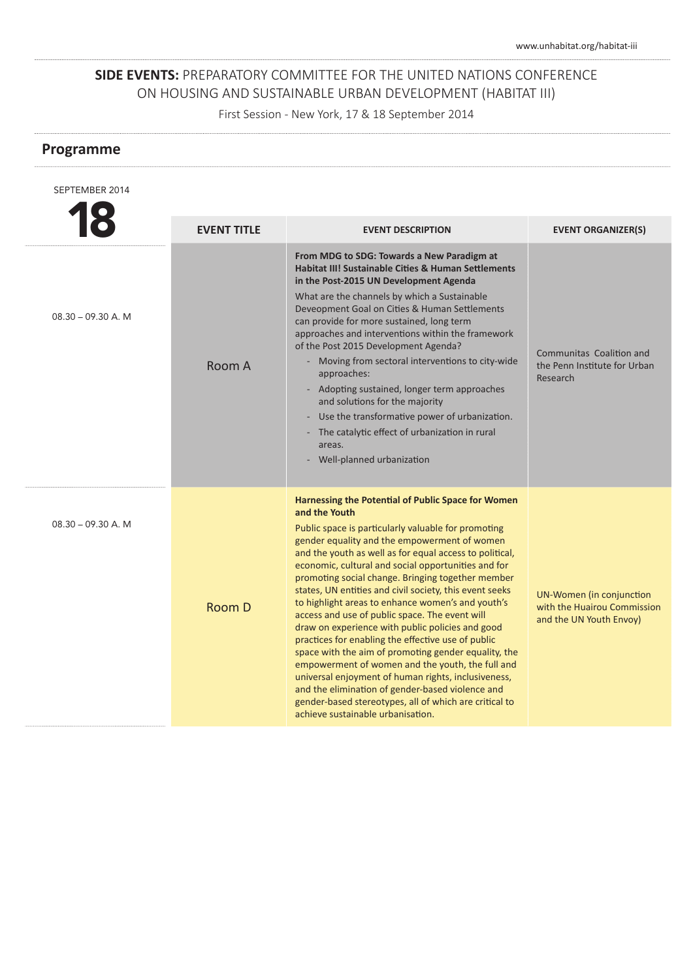First Session - New York, 17 & 18 September 2014

| SEPTEMBER 2014        |                    |                                                                                                                                                                                                                                                                                                                                                                                                                                                                                                                                                                                                                                                                                                                                                                                                                                                                                                                                                     |                                                                                    |
|-----------------------|--------------------|-----------------------------------------------------------------------------------------------------------------------------------------------------------------------------------------------------------------------------------------------------------------------------------------------------------------------------------------------------------------------------------------------------------------------------------------------------------------------------------------------------------------------------------------------------------------------------------------------------------------------------------------------------------------------------------------------------------------------------------------------------------------------------------------------------------------------------------------------------------------------------------------------------------------------------------------------------|------------------------------------------------------------------------------------|
|                       | <b>EVENT TITLE</b> | <b>EVENT DESCRIPTION</b>                                                                                                                                                                                                                                                                                                                                                                                                                                                                                                                                                                                                                                                                                                                                                                                                                                                                                                                            | <b>EVENT ORGANIZER(S)</b>                                                          |
| $08.30 - 09.30 A$ . M | Room A             | From MDG to SDG: Towards a New Paradigm at<br><b>Habitat III! Sustainable Cities &amp; Human Settlements</b><br>in the Post-2015 UN Development Agenda<br>What are the channels by which a Sustainable<br>Deveopment Goal on Cities & Human Settlements<br>can provide for more sustained, long term<br>approaches and interventions within the framework<br>of the Post 2015 Development Agenda?<br>- Moving from sectoral interventions to city-wide<br>approaches:<br>- Adopting sustained, longer term approaches<br>and solutions for the majority<br>Use the transformative power of urbanization.<br>- The catalytic effect of urbanization in rural<br>areas.<br>Well-planned urbanization                                                                                                                                                                                                                                                  | Communitas, Coalition and<br>the Penn Institute for Urban<br>Research              |
| $08.30 - 09.30$ A. M  | Room D             | Harnessing the Potential of Public Space for Women<br>and the Youth<br>Public space is particularly valuable for promoting<br>gender equality and the empowerment of women<br>and the youth as well as for equal access to political,<br>economic, cultural and social opportunities and for<br>promoting social change. Bringing together member<br>states, UN entities and civil society, this event seeks<br>to highlight areas to enhance women's and youth's<br>access and use of public space. The event will<br>draw on experience with public policies and good<br>practices for enabling the effective use of public<br>space with the aim of promoting gender equality, the<br>empowerment of women and the youth, the full and<br>universal enjoyment of human rights, inclusiveness,<br>and the elimination of gender-based violence and<br>gender-based stereotypes, all of which are critical to<br>achieve sustainable urbanisation. | UN-Women (in conjunction<br>with the Huairou Commission<br>and the UN Youth Envoy) |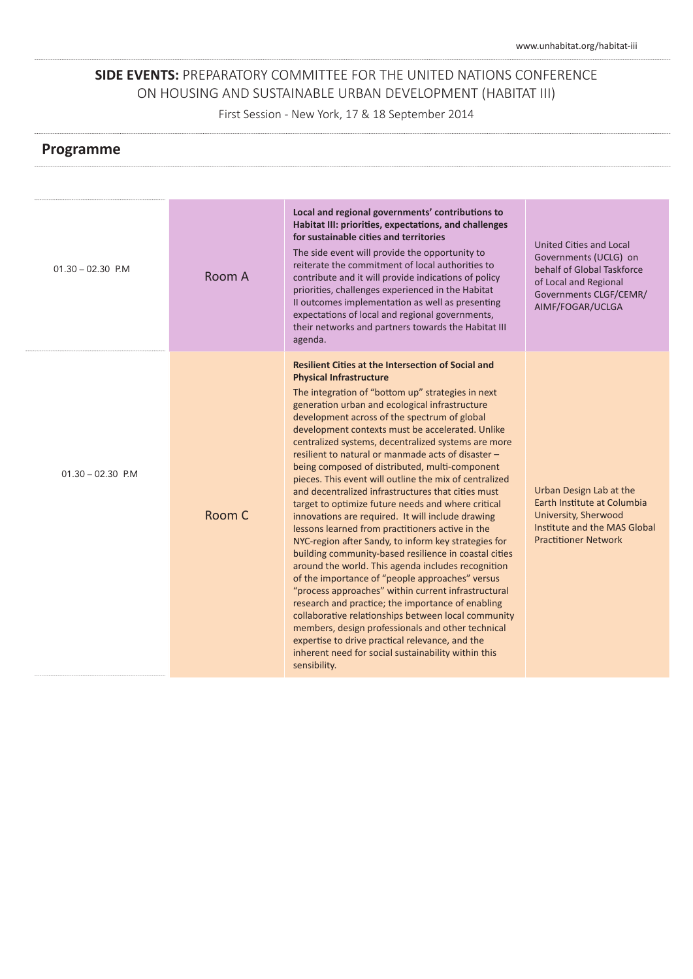First Session - New York, 17 & 18 September 2014

| $01.30 - 02.30$ P.M | Room A | Local and regional governments' contributions to<br>Habitat III: priorities, expectations, and challenges<br>for sustainable cities and territories<br>The side event will provide the opportunity to<br>reiterate the commitment of local authorities to<br>contribute and it will provide indications of policy<br>priorities, challenges experienced in the Habitat                                                                                                                                                                                                                                                                                                                                                                                                                                                                                                                                                                                                                                                                                                                                                                                                                                                                                                                                                           | United Cities and Local<br>Governments (UCLG) on<br>behalf of Global Taskforce<br>of Local and Regional<br>Governments CLGF/CEMR/             |
|---------------------|--------|----------------------------------------------------------------------------------------------------------------------------------------------------------------------------------------------------------------------------------------------------------------------------------------------------------------------------------------------------------------------------------------------------------------------------------------------------------------------------------------------------------------------------------------------------------------------------------------------------------------------------------------------------------------------------------------------------------------------------------------------------------------------------------------------------------------------------------------------------------------------------------------------------------------------------------------------------------------------------------------------------------------------------------------------------------------------------------------------------------------------------------------------------------------------------------------------------------------------------------------------------------------------------------------------------------------------------------|-----------------------------------------------------------------------------------------------------------------------------------------------|
|                     |        | Il outcomes implementation as well as presenting<br>expectations of local and regional governments,<br>their networks and partners towards the Habitat III<br>agenda.                                                                                                                                                                                                                                                                                                                                                                                                                                                                                                                                                                                                                                                                                                                                                                                                                                                                                                                                                                                                                                                                                                                                                            | AIMF/FOGAR/UCLGA                                                                                                                              |
| $01.30 - 02.30$ P.M | Room C | <b>Resilient Cities at the Intersection of Social and</b><br><b>Physical Infrastructure</b><br>The integration of "bottom up" strategies in next<br>generation urban and ecological infrastructure<br>development across of the spectrum of global<br>development contexts must be accelerated. Unlike<br>centralized systems, decentralized systems are more<br>resilient to natural or manmade acts of disaster -<br>being composed of distributed, multi-component<br>pieces. This event will outline the mix of centralized<br>and decentralized infrastructures that cities must<br>target to optimize future needs and where critical<br>innovations are required. It will include drawing<br>lessons learned from practitioners active in the<br>NYC-region after Sandy, to inform key strategies for<br>building community-based resilience in coastal cities<br>around the world. This agenda includes recognition<br>of the importance of "people approaches" versus<br>"process approaches" within current infrastructural<br>research and practice; the importance of enabling<br>collaborative relationships between local community<br>members, design professionals and other technical<br>expertise to drive practical relevance, and the<br>inherent need for social sustainability within this<br>sensibility. | Urban Design Lab at the<br>Earth Institute at Columbia<br>University, Sherwood<br>Institute and the MAS Global<br><b>Practitioner Network</b> |